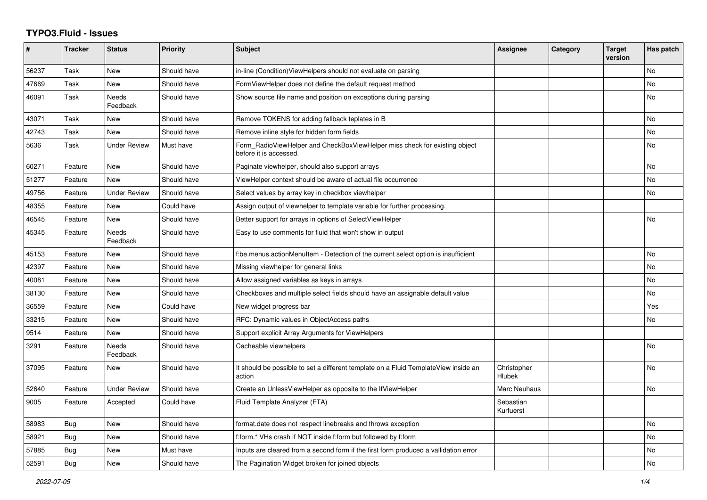## **TYPO3.Fluid - Issues**

| $\#$  | <b>Tracker</b> | <b>Status</b>       | <b>Priority</b> | <b>Subject</b>                                                                                       | Assignee                     | Category | <b>Target</b><br>version | Has patch      |
|-------|----------------|---------------------|-----------------|------------------------------------------------------------------------------------------------------|------------------------------|----------|--------------------------|----------------|
| 56237 | Task           | New                 | Should have     | in-line (Condition) View Helpers should not evaluate on parsing                                      |                              |          |                          | N <sub>o</sub> |
| 47669 | Task           | New                 | Should have     | FormViewHelper does not define the default request method                                            |                              |          |                          | No             |
| 46091 | Task           | Needs<br>Feedback   | Should have     | Show source file name and position on exceptions during parsing                                      |                              |          |                          | No             |
| 43071 | Task           | New                 | Should have     | Remove TOKENS for adding fallback teplates in B                                                      |                              |          |                          | <b>No</b>      |
| 42743 | Task           | New                 | Should have     | Remove inline style for hidden form fields                                                           |                              |          |                          | No             |
| 5636  | Task           | Under Review        | Must have       | Form_RadioViewHelper and CheckBoxViewHelper miss check for existing object<br>before it is accessed. |                              |          |                          | <b>No</b>      |
| 60271 | Feature        | <b>New</b>          | Should have     | Paginate viewhelper, should also support arrays                                                      |                              |          |                          | <b>No</b>      |
| 51277 | Feature        | <b>New</b>          | Should have     | ViewHelper context should be aware of actual file occurrence                                         |                              |          |                          | <b>No</b>      |
| 49756 | Feature        | Under Review        | Should have     | Select values by array key in checkbox viewhelper                                                    |                              |          |                          | <b>No</b>      |
| 48355 | Feature        | <b>New</b>          | Could have      | Assign output of viewhelper to template variable for further processing.                             |                              |          |                          |                |
| 46545 | Feature        | New                 | Should have     | Better support for arrays in options of SelectViewHelper                                             |                              |          |                          | <b>No</b>      |
| 45345 | Feature        | Needs<br>Feedback   | Should have     | Easy to use comments for fluid that won't show in output                                             |                              |          |                          |                |
| 45153 | Feature        | New                 | Should have     | f:be.menus.actionMenuItem - Detection of the current select option is insufficient                   |                              |          |                          | <b>No</b>      |
| 42397 | Feature        | New                 | Should have     | Missing viewhelper for general links                                                                 |                              |          |                          | No             |
| 40081 | Feature        | <b>New</b>          | Should have     | Allow assigned variables as keys in arrays                                                           |                              |          |                          | <b>No</b>      |
| 38130 | Feature        | New                 | Should have     | Checkboxes and multiple select fields should have an assignable default value                        |                              |          |                          | <b>No</b>      |
| 36559 | Feature        | New                 | Could have      | New widget progress bar                                                                              |                              |          |                          | Yes            |
| 33215 | Feature        | New                 | Should have     | RFC: Dynamic values in ObjectAccess paths                                                            |                              |          |                          | No             |
| 9514  | Feature        | <b>New</b>          | Should have     | Support explicit Array Arguments for ViewHelpers                                                     |                              |          |                          |                |
| 3291  | Feature        | Needs<br>Feedback   | Should have     | Cacheable viewhelpers                                                                                |                              |          |                          | No             |
| 37095 | Feature        | New                 | Should have     | It should be possible to set a different template on a Fluid TemplateView inside an<br>action        | Christopher<br><b>Hlubek</b> |          |                          | No             |
| 52640 | Feature        | <b>Under Review</b> | Should have     | Create an UnlessViewHelper as opposite to the IfViewHelper                                           | Marc Neuhaus                 |          |                          | <b>No</b>      |
| 9005  | Feature        | Accepted            | Could have      | Fluid Template Analyzer (FTA)                                                                        | Sebastian<br>Kurfuerst       |          |                          |                |
| 58983 | <b>Bug</b>     | New                 | Should have     | format date does not respect linebreaks and throws exception                                         |                              |          |                          | <b>No</b>      |
| 58921 | Bug            | New                 | Should have     | f:form.* VHs crash if NOT inside f:form but followed by f:form                                       |                              |          |                          | No             |
| 57885 | Bug            | New                 | Must have       | Inputs are cleared from a second form if the first form produced a vallidation error                 |                              |          |                          | No             |
| 52591 | Bug            | New                 | Should have     | The Pagination Widget broken for joined objects                                                      |                              |          |                          | No             |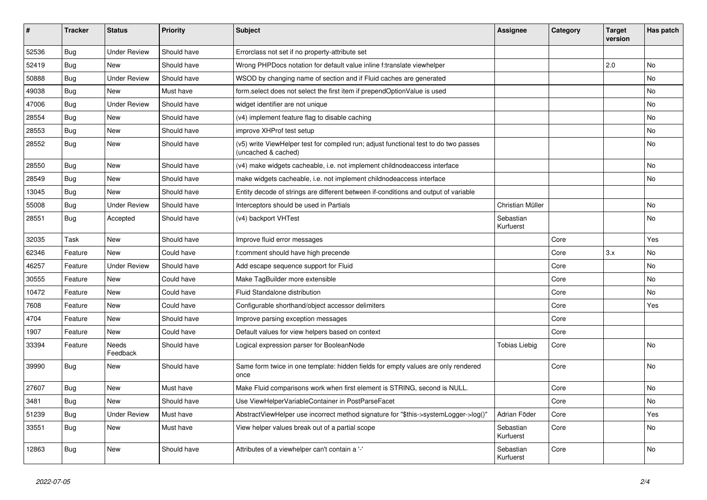| $\vert$ # | <b>Tracker</b> | <b>Status</b>       | <b>Priority</b> | <b>Subject</b>                                                                                              | Assignee               | Category | <b>Target</b><br>version | Has patch |
|-----------|----------------|---------------------|-----------------|-------------------------------------------------------------------------------------------------------------|------------------------|----------|--------------------------|-----------|
| 52536     | Bug            | <b>Under Review</b> | Should have     | Errorclass not set if no property-attribute set                                                             |                        |          |                          |           |
| 52419     | <b>Bug</b>     | New                 | Should have     | Wrong PHPDocs notation for default value inline f:translate viewhelper                                      |                        |          | 2.0                      | <b>No</b> |
| 50888     | <b>Bug</b>     | <b>Under Review</b> | Should have     | WSOD by changing name of section and if Fluid caches are generated                                          |                        |          |                          | No        |
| 49038     | <b>Bug</b>     | New                 | Must have       | form.select does not select the first item if prependOptionValue is used                                    |                        |          |                          | No        |
| 47006     | Bug            | <b>Under Review</b> | Should have     | widget identifier are not unique                                                                            |                        |          |                          | <b>No</b> |
| 28554     | Bug            | New                 | Should have     | (v4) implement feature flag to disable caching                                                              |                        |          |                          | <b>No</b> |
| 28553     | <b>Bug</b>     | <b>New</b>          | Should have     | improve XHProf test setup                                                                                   |                        |          |                          | No        |
| 28552     | Bug            | New                 | Should have     | (v5) write ViewHelper test for compiled run; adjust functional test to do two passes<br>(uncached & cached) |                        |          |                          | <b>No</b> |
| 28550     | <b>Bug</b>     | New                 | Should have     | (v4) make widgets cacheable, i.e. not implement childnodeaccess interface                                   |                        |          |                          | No        |
| 28549     | Bug            | New                 | Should have     | make widgets cacheable, i.e. not implement childnodeaccess interface                                        |                        |          |                          | No        |
| 13045     | <b>Bug</b>     | <b>New</b>          | Should have     | Entity decode of strings are different between if-conditions and output of variable                         |                        |          |                          |           |
| 55008     | Bug            | <b>Under Review</b> | Should have     | Interceptors should be used in Partials                                                                     | Christian Müller       |          |                          | <b>No</b> |
| 28551     | Bug            | Accepted            | Should have     | (v4) backport VHTest                                                                                        | Sebastian<br>Kurfuerst |          |                          | <b>No</b> |
| 32035     | Task           | <b>New</b>          | Should have     | Improve fluid error messages                                                                                |                        | Core     |                          | Yes       |
| 62346     | Feature        | New                 | Could have      | comment should have high precende                                                                           |                        | Core     | 3.x                      | <b>No</b> |
| 46257     | Feature        | <b>Under Review</b> | Should have     | Add escape sequence support for Fluid                                                                       |                        | Core     |                          | <b>No</b> |
| 30555     | Feature        | New                 | Could have      | Make TagBuilder more extensible                                                                             |                        | Core     |                          | No        |
| 10472     | Feature        | <b>New</b>          | Could have      | Fluid Standalone distribution                                                                               |                        | Core     |                          | <b>No</b> |
| 7608      | Feature        | New                 | Could have      | Configurable shorthand/object accessor delimiters                                                           |                        | Core     |                          | Yes       |
| 4704      | Feature        | New                 | Should have     | Improve parsing exception messages                                                                          |                        | Core     |                          |           |
| 1907      | Feature        | New                 | Could have      | Default values for view helpers based on context                                                            |                        | Core     |                          |           |
| 33394     | Feature        | Needs<br>Feedback   | Should have     | Logical expression parser for BooleanNode                                                                   | <b>Tobias Liebig</b>   | Core     |                          | <b>No</b> |
| 39990     | Bug            | <b>New</b>          | Should have     | Same form twice in one template: hidden fields for empty values are only rendered<br>once                   |                        | Core     |                          | No        |
| 27607     | Bug            | New                 | Must have       | Make Fluid comparisons work when first element is STRING, second is NULL.                                   |                        | Core     |                          | No        |
| 3481      | Bug            | New                 | Should have     | Use ViewHelperVariableContainer in PostParseFacet                                                           |                        | Core     |                          | <b>No</b> |
| 51239     | Bug            | <b>Under Review</b> | Must have       | AbstractViewHelper use incorrect method signature for "\$this->systemLogger->log()"                         | Adrian Föder           | Core     |                          | Yes       |
| 33551     | Bug            | New                 | Must have       | View helper values break out of a partial scope                                                             | Sebastian<br>Kurfuerst | Core     |                          | <b>No</b> |
| 12863     | Bug            | New                 | Should have     | Attributes of a viewhelper can't contain a '-'                                                              | Sebastian<br>Kurfuerst | Core     |                          | <b>No</b> |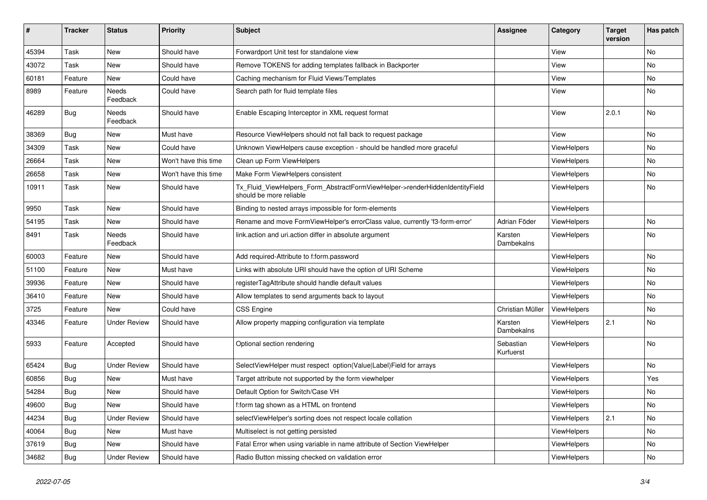| $\sharp$ | <b>Tracker</b> | <b>Status</b>       | <b>Priority</b>      | Subject                                                                                                | <b>Assignee</b>        | Category    | <b>Target</b><br>version | Has patch |
|----------|----------------|---------------------|----------------------|--------------------------------------------------------------------------------------------------------|------------------------|-------------|--------------------------|-----------|
| 45394    | Task           | New                 | Should have          | Forwardport Unit test for standalone view                                                              |                        | View        |                          | <b>No</b> |
| 43072    | Task           | New                 | Should have          | Remove TOKENS for adding templates fallback in Backporter                                              |                        | View        |                          | No        |
| 60181    | Feature        | New                 | Could have           | Caching mechanism for Fluid Views/Templates                                                            |                        | View        |                          | No        |
| 8989     | Feature        | Needs<br>Feedback   | Could have           | Search path for fluid template files                                                                   |                        | View        |                          | No        |
| 46289    | Bug            | Needs<br>Feedback   | Should have          | Enable Escaping Interceptor in XML request format                                                      |                        | View        | 2.0.1                    | No        |
| 38369    | Bug            | New                 | Must have            | Resource ViewHelpers should not fall back to request package                                           |                        | View        |                          | No        |
| 34309    | Task           | New                 | Could have           | Unknown ViewHelpers cause exception - should be handled more graceful                                  |                        | ViewHelpers |                          | No        |
| 26664    | Task           | New                 | Won't have this time | Clean up Form ViewHelpers                                                                              |                        | ViewHelpers |                          | No        |
| 26658    | Task           | New                 | Won't have this time | Make Form ViewHelpers consistent                                                                       |                        | ViewHelpers |                          | No        |
| 10911    | Task           | New                 | Should have          | Tx_Fluid_ViewHelpers_Form_AbstractFormViewHelper->renderHiddenIdentityField<br>should be more reliable |                        | ViewHelpers |                          | No        |
| 9950     | Task           | New                 | Should have          | Binding to nested arrays impossible for form-elements                                                  |                        | ViewHelpers |                          |           |
| 54195    | Task           | New                 | Should have          | Rename and move FormViewHelper's errorClass value, currently 'f3-form-error'                           | Adrian Föder           | ViewHelpers |                          | No        |
| 8491     | Task           | Needs<br>Feedback   | Should have          | link.action and uri.action differ in absolute argument                                                 | Karsten<br>Dambekalns  | ViewHelpers |                          | No        |
| 60003    | Feature        | New                 | Should have          | Add required-Attribute to f:form.password                                                              |                        | ViewHelpers |                          | No        |
| 51100    | Feature        | New                 | Must have            | Links with absolute URI should have the option of URI Scheme                                           |                        | ViewHelpers |                          | No        |
| 39936    | Feature        | New                 | Should have          | registerTagAttribute should handle default values                                                      |                        | ViewHelpers |                          | No        |
| 36410    | Feature        | New                 | Should have          | Allow templates to send arguments back to layout                                                       |                        | ViewHelpers |                          | No        |
| 3725     | Feature        | New                 | Could have           | <b>CSS Engine</b>                                                                                      | Christian Müller       | ViewHelpers |                          | No        |
| 43346    | Feature        | <b>Under Review</b> | Should have          | Allow property mapping configuration via template                                                      | Karsten<br>Dambekalns  | ViewHelpers | 2.1                      | No        |
| 5933     | Feature        | Accepted            | Should have          | Optional section rendering                                                                             | Sebastian<br>Kurfuerst | ViewHelpers |                          | <b>No</b> |
| 65424    | Bug            | <b>Under Review</b> | Should have          | SelectViewHelper must respect option(Value Label)Field for arrays                                      |                        | ViewHelpers |                          | No        |
| 60856    | Bug            | New                 | Must have            | Target attribute not supported by the form viewhelper                                                  |                        | ViewHelpers |                          | Yes       |
| 54284    | Bug            | New                 | Should have          | Default Option for Switch/Case VH                                                                      |                        | ViewHelpers |                          | No        |
| 49600    | Bug            | New                 | Should have          | f:form tag shown as a HTML on frontend                                                                 |                        | ViewHelpers |                          | No        |
| 44234    | Bug            | <b>Under Review</b> | Should have          | selectViewHelper's sorting does not respect locale collation                                           |                        | ViewHelpers | 2.1                      | No        |
| 40064    | Bug            | New                 | Must have            | Multiselect is not getting persisted                                                                   |                        | ViewHelpers |                          | No        |
| 37619    | Bug            | New                 | Should have          | Fatal Error when using variable in name attribute of Section ViewHelper                                |                        | ViewHelpers |                          | No        |
| 34682    | <b>Bug</b>     | <b>Under Review</b> | Should have          | Radio Button missing checked on validation error                                                       |                        | ViewHelpers |                          | No        |